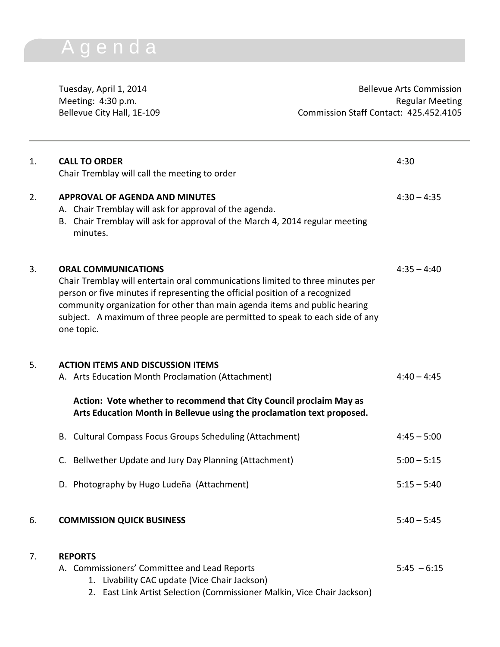## A g e n d a

Tuesday, April 1, 2014 **Bellevue Arts Commission** Meeting: 4:30 p.m.<br>Bellevue City Hall, 1E-109 ellevue City Hall, 1E-109 Commission Staff Contact: 425.452.4105

| 1. | <b>CALL TO ORDER</b><br>Chair Tremblay will call the meeting to order                                                                                                                                                                                                                                                                                                     | 4:30          |
|----|---------------------------------------------------------------------------------------------------------------------------------------------------------------------------------------------------------------------------------------------------------------------------------------------------------------------------------------------------------------------------|---------------|
| 2. | <b>APPROVAL OF AGENDA AND MINUTES</b><br>A. Chair Tremblay will ask for approval of the agenda.<br>B. Chair Tremblay will ask for approval of the March 4, 2014 regular meeting<br>minutes.                                                                                                                                                                               | $4:30 - 4:35$ |
| 3. | <b>ORAL COMMUNICATIONS</b><br>Chair Tremblay will entertain oral communications limited to three minutes per<br>person or five minutes if representing the official position of a recognized<br>community organization for other than main agenda items and public hearing<br>subject. A maximum of three people are permitted to speak to each side of any<br>one topic. | $4:35 - 4:40$ |
| 5. | <b>ACTION ITEMS AND DISCUSSION ITEMS</b><br>A. Arts Education Month Proclamation (Attachment)<br>Action: Vote whether to recommend that City Council proclaim May as<br>Arts Education Month in Bellevue using the proclamation text proposed.                                                                                                                            | $4:40 - 4:45$ |
|    | B. Cultural Compass Focus Groups Scheduling (Attachment)                                                                                                                                                                                                                                                                                                                  | $4:45 - 5:00$ |
|    | C. Bellwether Update and Jury Day Planning (Attachment)                                                                                                                                                                                                                                                                                                                   | $5:00 - 5:15$ |
|    | D. Photography by Hugo Ludeña (Attachment)                                                                                                                                                                                                                                                                                                                                | $5:15 - 5:40$ |
| 6. | <b>COMMISSION QUICK BUSINESS</b>                                                                                                                                                                                                                                                                                                                                          | $5:40 - 5:45$ |
| 7. | <b>REPORTS</b><br>A. Commissioners' Committee and Lead Reports<br>1. Livability CAC update (Vice Chair Jackson)<br>2. East Link Artist Selection (Commissioner Malkin, Vice Chair Jackson)                                                                                                                                                                                | $5:45 - 6:15$ |